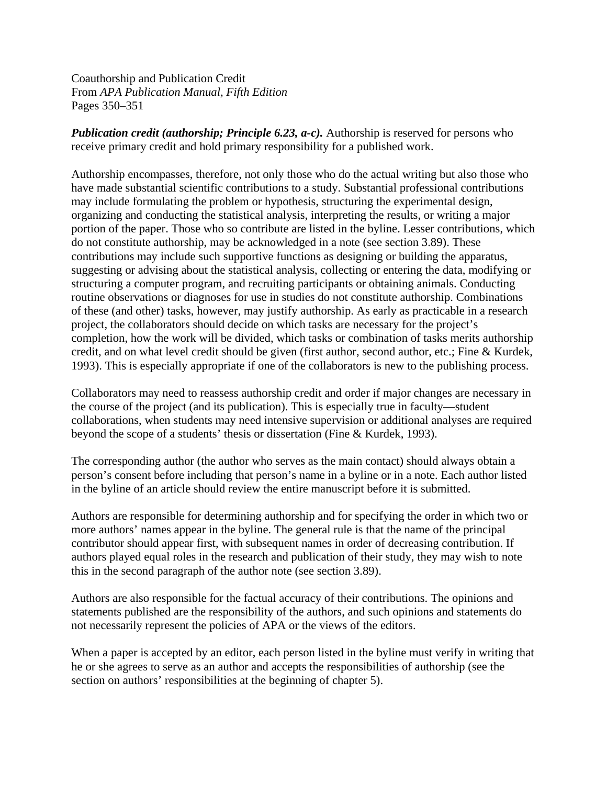Coauthorship and Publication Credit From *APA Publication Manual, Fifth Edition* Pages 350–351

*Publication credit (authorship; Principle 6.23, a-c).* Authorship is reserved for persons who receive primary credit and hold primary responsibility for a published work.

Authorship encompasses, therefore, not only those who do the actual writing but also those who have made substantial scientific contributions to a study. Substantial professional contributions may include formulating the problem or hypothesis, structuring the experimental design, organizing and conducting the statistical analysis, interpreting the results, or writing a major portion of the paper. Those who so contribute are listed in the byline. Lesser contributions, which do not constitute authorship, may be acknowledged in a note (see section 3.89). These contributions may include such supportive functions as designing or building the apparatus, suggesting or advising about the statistical analysis, collecting or entering the data, modifying or structuring a computer program, and recruiting participants or obtaining animals. Conducting routine observations or diagnoses for use in studies do not constitute authorship. Combinations of these (and other) tasks, however, may justify authorship. As early as practicable in a research project, the collaborators should decide on which tasks are necessary for the project's completion, how the work will be divided, which tasks or combination of tasks merits authorship credit, and on what level credit should be given (first author, second author, etc.; Fine & Kurdek, 1993). This is especially appropriate if one of the collaborators is new to the publishing process.

Collaborators may need to reassess authorship credit and order if major changes are necessary in the course of the project (and its publication). This is especially true in faculty—student collaborations, when students may need intensive supervision or additional analyses are required beyond the scope of a students' thesis or dissertation (Fine & Kurdek, 1993).

The corresponding author (the author who serves as the main contact) should always obtain a person's consent before including that person's name in a byline or in a note. Each author listed in the byline of an article should review the entire manuscript before it is submitted.

Authors are responsible for determining authorship and for specifying the order in which two or more authors' names appear in the byline. The general rule is that the name of the principal contributor should appear first, with subsequent names in order of decreasing contribution. If authors played equal roles in the research and publication of their study, they may wish to note this in the second paragraph of the author note (see section 3.89).

Authors are also responsible for the factual accuracy of their contributions. The opinions and statements published are the responsibility of the authors, and such opinions and statements do not necessarily represent the policies of APA or the views of the editors.

When a paper is accepted by an editor, each person listed in the byline must verify in writing that he or she agrees to serve as an author and accepts the responsibilities of authorship (see the section on authors' responsibilities at the beginning of chapter 5).